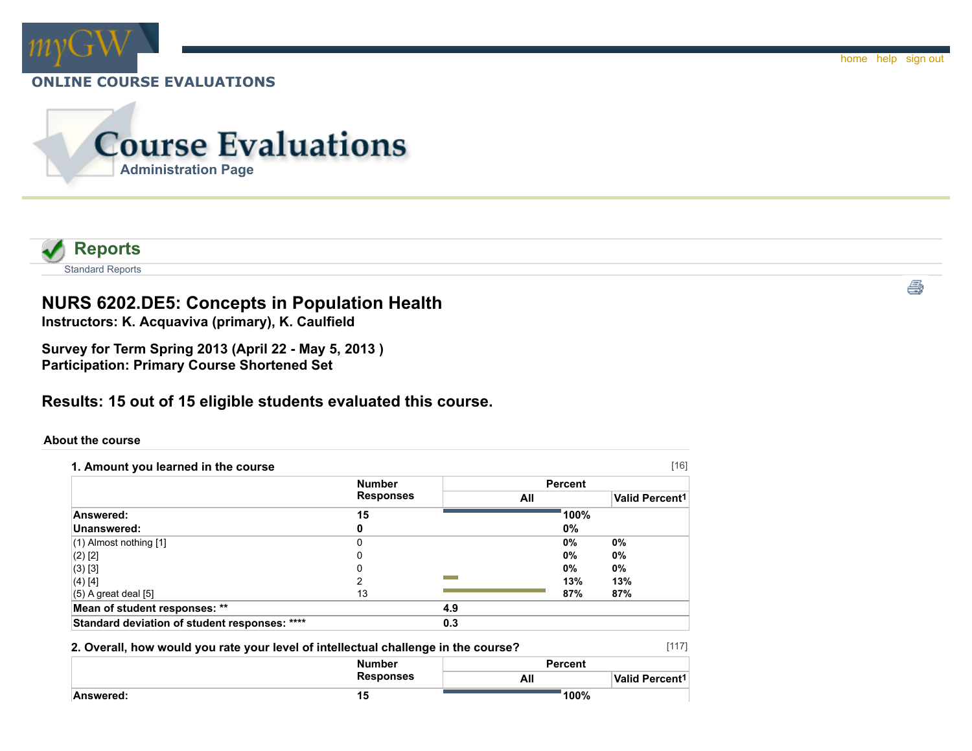



# **NURS 6202.DE5: Concepts in Population Health**

**Instructors: K. Acquaviva (primary), K. Caulfield**

**Survey for Term Spring 2013 (April 22 - May 5, 2013 ) Participation: Primary Course Shortened Set**

## **Results: 15 out of 15 eligible students evaluated this course.**

#### **About the course**

| 1. Amount you learned in the course           | <b>Number</b>    |     | <b>Percent</b> |      |                            |
|-----------------------------------------------|------------------|-----|----------------|------|----------------------------|
|                                               | <b>Responses</b> |     |                |      |                            |
|                                               |                  |     | All            |      | Valid Percent <sup>1</sup> |
| Answered:                                     | 15               |     |                | 100% |                            |
| Unanswered:                                   | 0                |     | 0%             |      |                            |
| $(1)$ Almost nothing $[1]$                    | 0                |     | 0%             |      | $0\%$                      |
| $(2)$ [2]                                     | 0                |     | 0%             |      | $0\%$                      |
| $(3)$ [3]                                     |                  |     | 0%             |      | 0%                         |
| (4) [4]                                       | 2                |     | 13%            |      | 13%                        |
| $(5)$ A great deal $[5]$                      | 13               |     | 87%            |      | 87%                        |
| Mean of student responses: **                 |                  | 4.9 |                |      |                            |
| Standard deviation of student responses: **** |                  | 0.3 |                |      |                            |

#### **2. Overall, how would you rate your level of intellectual challenge in the course?**

|           | <b>Number</b>    | <b>Percent</b> |                       |  |
|-----------|------------------|----------------|-----------------------|--|
|           | <b>Responses</b> | All            | <b>Valid Percent1</b> |  |
| Answered: | 15               | 100%           |                       |  |

[117]

ê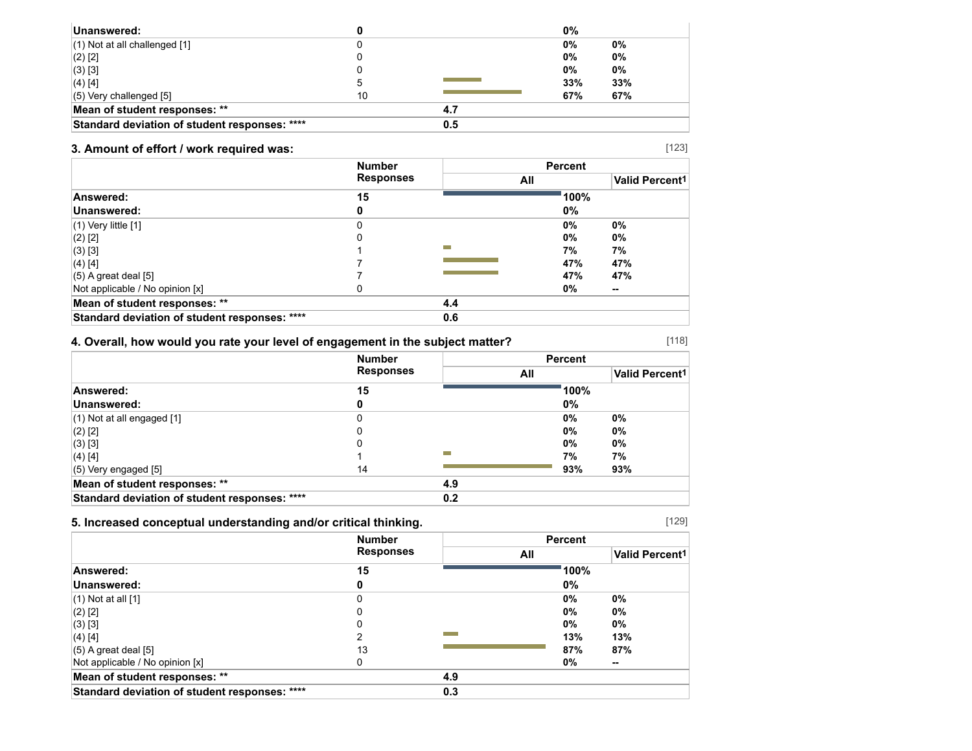| Unanswered:                                   |    |     | 0%  |     |
|-----------------------------------------------|----|-----|-----|-----|
| $(1)$ Not at all challenged $[1]$             |    |     | 0%  | 0%  |
| $(2)$ [2]                                     |    |     | 0%  | 0%  |
| (3) [3]                                       |    |     | 0%  | 0%  |
| $(4)$ [4]                                     |    |     | 33% | 33% |
| $(5)$ Very challenged $[5]$                   | 10 |     | 67% | 67% |
| Mean of student responses: **                 |    | 4.7 |     |     |
| Standard deviation of student responses: **** |    | 0.5 |     |     |

## **3. Amount of effort / work required was:**

|                                               | <b>Number</b><br><b>Responses</b> |     | <b>Percent</b> |                       |
|-----------------------------------------------|-----------------------------------|-----|----------------|-----------------------|
|                                               |                                   | All |                | <b>Valid Percent1</b> |
| Answered:                                     | 15                                |     | 100%           |                       |
| Unanswered:                                   |                                   |     | $0\%$          |                       |
| $(1)$ Very little $[1]$                       | 0                                 |     | 0%             | $0\%$                 |
| $(2)$ [2]                                     | 0                                 |     | 0%             | 0%                    |
| $(3)$ [3]                                     |                                   |     | 7%             | 7%                    |
| $(4)$ [4]                                     |                                   |     | 47%            | 47%                   |
| $(5)$ A great deal $[5]$                      |                                   |     | 47%            | 47%                   |
| Not applicable / No opinion [x]               | 0                                 |     | 0%             | $\sim$                |
| Mean of student responses: **                 |                                   | 4.4 |                |                       |
| Standard deviation of student responses: **** |                                   | 0.6 |                |                       |

## **4. Overall, how would you rate your level of engagement in the subject matter?**

|                                               | <b>Number</b>    |     | <b>Percent</b> |                            |
|-----------------------------------------------|------------------|-----|----------------|----------------------------|
|                                               | <b>Responses</b> |     | All            | Valid Percent <sup>1</sup> |
| Answered:                                     | 15               |     | 100%           |                            |
| Unanswered:                                   | 0                |     | 0%             |                            |
| $(1)$ Not at all engaged $[1]$                | 0                |     | 0%             | 0%                         |
| $(2)$ [2]                                     | 0                |     | $0\%$          | 0%                         |
| (3) [3]                                       | 0                |     | $0\%$          | 0%                         |
| $(4)$ [4]                                     |                  |     | 7%             | 7%                         |
| $(5)$ Very engaged [5]                        | 14               |     | 93%            | 93%                        |
| Mean of student responses: **                 |                  | 4.9 |                |                            |
| Standard deviation of student responses: **** |                  | 0.2 |                |                            |

### **5. Increased conceptual understanding and/or critical thinking.**

|                                               | <b>Number</b>    |     | <b>Percent</b> |                       |
|-----------------------------------------------|------------------|-----|----------------|-----------------------|
|                                               | <b>Responses</b> | All |                | <b>Valid Percent1</b> |
| Answered:                                     | 15               |     | 100%           |                       |
| Unanswered:                                   | 0                |     | 0%             |                       |
| $(1)$ Not at all $[1]$                        | 0                |     | 0%             | 0%                    |
| $(2)$ [2]                                     | 0                |     | 0%             | 0%                    |
| (3) [3]                                       | 0                |     | $0\%$          | 0%                    |
| (4) [4]                                       | າ                |     | 13%            | 13%                   |
| $(5)$ A great deal $[5]$                      | 13               |     | 87%            | 87%                   |
| Not applicable / No opinion [x]               | 0                |     | 0%             | --                    |
| Mean of student responses: **                 |                  | 4.9 |                |                       |
| Standard deviation of student responses: **** |                  | 0.3 |                |                       |

[129]

[118]

[123]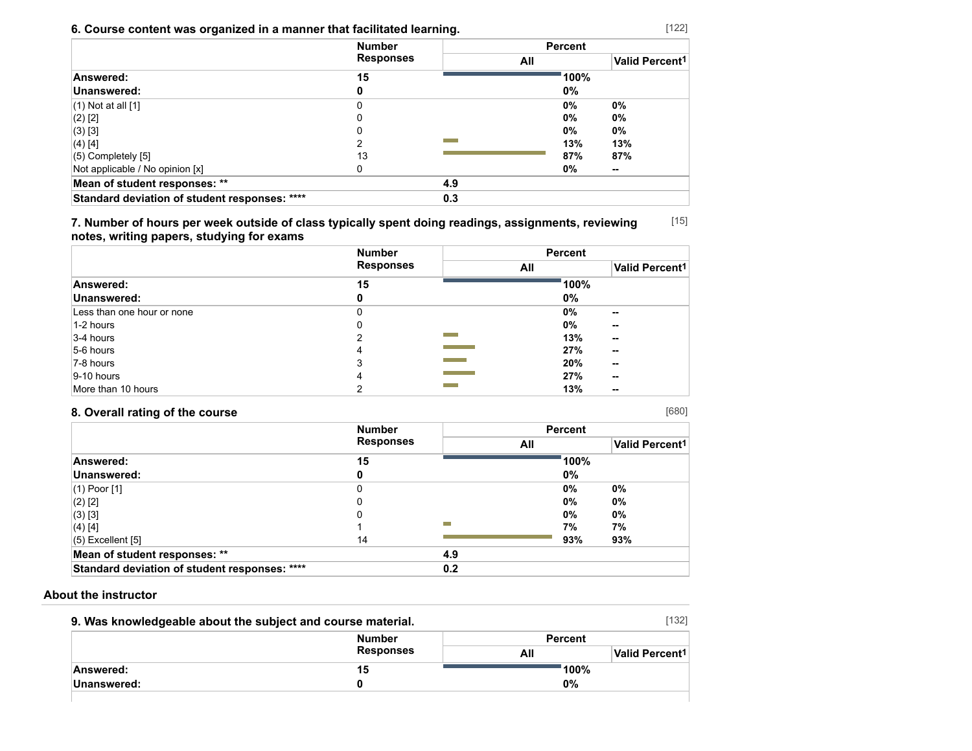## **6. Course content was organized in a manner that facilitated learning.**

|                                               | <b>Number</b><br><b>Responses</b> |     | <b>Percent</b> |                            |
|-----------------------------------------------|-----------------------------------|-----|----------------|----------------------------|
|                                               |                                   |     | All            | Valid Percent <sup>1</sup> |
| Answered:                                     | 15                                |     | 100%           |                            |
| Unanswered:                                   | o                                 |     | 0%             |                            |
| $(1)$ Not at all $[1]$                        | 0                                 |     | $0\%$          | 0%                         |
| $(2)$ [2]                                     |                                   |     | $0\%$          | 0%                         |
| $(3)$ [3]                                     |                                   |     | $0\%$          | 0%                         |
| (4) [4]                                       | ົ                                 |     | 13%            | 13%                        |
| (5) Completely [5]                            | 13                                |     | 87%            | 87%                        |
| Not applicable / No opinion [x]               |                                   |     | 0%             | --                         |
| Mean of student responses: **                 |                                   | 4.9 |                |                            |
| Standard deviation of student responses: **** |                                   | 0.3 |                |                            |

[15] **7. Number of hours per week outside of class typically spent doing readings, assignments, reviewing notes, writing papers, studying for exams**

|                            | <b>Number</b>    | <b>Percent</b> |                            |
|----------------------------|------------------|----------------|----------------------------|
|                            | <b>Responses</b> | All            | Valid Percent <sup>1</sup> |
| Answered:                  | 15               | 100%           |                            |
| Unanswered:                | 0                | 0%             |                            |
| Less than one hour or none | 0                | $0\%$          | $\sim$                     |
| 1-2 hours                  | 0                | 0%             | --                         |
| $3-4$ hours                |                  | 13%            | --                         |
| 5-6 hours                  | 4                | 27%            | $\sim$                     |
| 7-8 hours                  | 3                | 20%            | $\sim$                     |
| $ 9-10$ hours              | 4                | 27%            | $\sim$                     |
| More than 10 hours         |                  | 13%            | --                         |

## **8. Overall rating of the course**

|                                               | <b>Number</b><br><b>Responses</b> |     | <b>Percent</b> |                            |
|-----------------------------------------------|-----------------------------------|-----|----------------|----------------------------|
|                                               |                                   | All |                | Valid Percent <sup>1</sup> |
| Answered:                                     | 15                                |     | 100%           |                            |
| Unanswered:                                   |                                   |     | $0\%$          |                            |
| (1) Poor [1]                                  |                                   |     | 0%             | 0%                         |
| (2) [2]                                       |                                   |     | 0%             | $0\%$                      |
| (3) [3]                                       |                                   |     | 0%             | 0%                         |
| $(4)$ [4]                                     |                                   | ═   | 7%             | 7%                         |
| (5) Excellent [5]                             | 14                                |     | 93%            | 93%                        |
| Mean of student responses: **                 |                                   | 4.9 |                |                            |
| Standard deviation of student responses: **** |                                   | 0.2 |                |                            |

### **About the instructor**

| 9. Was knowledgeable about the subject and course material. |                  |                | [132]                      |
|-------------------------------------------------------------|------------------|----------------|----------------------------|
|                                                             | <b>Number</b>    | <b>Percent</b> |                            |
|                                                             | <b>Responses</b> | All            | Valid Percent <sup>1</sup> |
| Answered:                                                   | 15               |                | 100%                       |
| Unanswered:                                                 |                  | 0%             |                            |
|                                                             |                  |                |                            |

[122]

[680]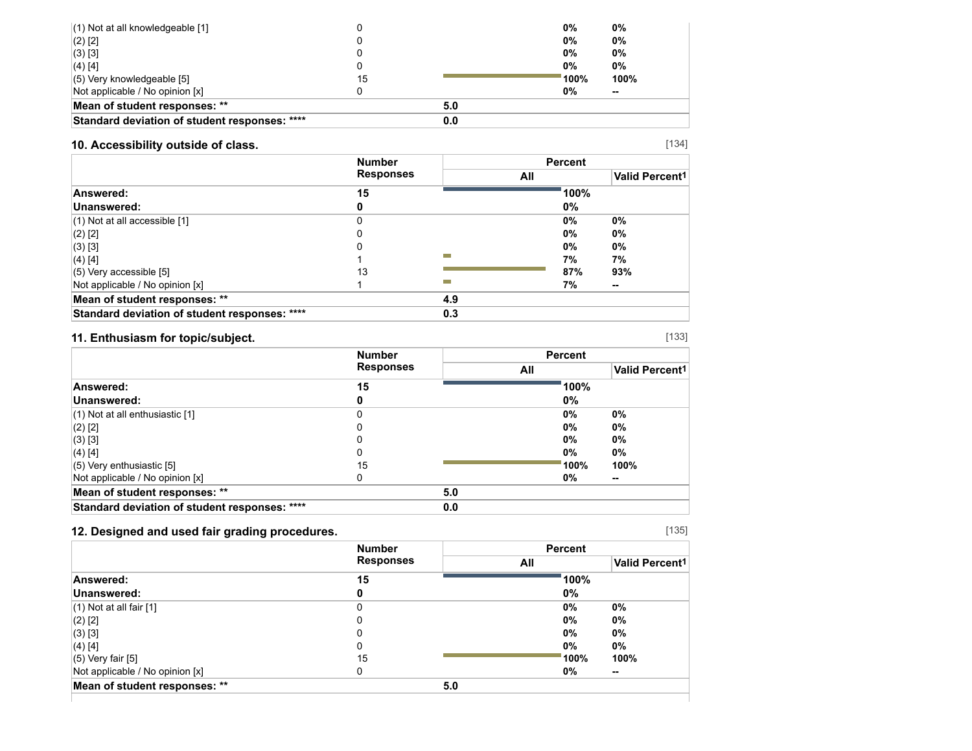| $(1)$ Not at all knowledgeable [1]            |    |     | 0%              | 0%     |
|-----------------------------------------------|----|-----|-----------------|--------|
| $(2)$ [2]                                     |    |     | $0\%$           | 0%     |
| $(3)$ [3]                                     |    |     | $0\%$           | 0%     |
| $(4)$ [4]                                     |    |     | 0%              | 0%     |
| $(5)$ Very knowledgeable [5]                  | 15 |     | $^{\circ}$ 100% | 100%   |
| Not applicable / No opinion [x]               |    |     | 0%              | $\sim$ |
| Mean of student responses: **                 |    | 5.0 |                 |        |
| Standard deviation of student responses: **** |    | 0.0 |                 |        |

## **10. Accessibility outside of class.**

|                                               | <b>Number</b><br><b>Responses</b> |     | <b>Percent</b> |                       |
|-----------------------------------------------|-----------------------------------|-----|----------------|-----------------------|
|                                               |                                   |     | All            | <b>Valid Percent1</b> |
| Answered:                                     | 15                                |     | 100%           |                       |
| Unanswered:                                   |                                   |     | 0%             |                       |
| $(1)$ Not at all accessible $[1]$             |                                   |     | 0%             | 0%                    |
| $(2)$ [2]                                     |                                   |     | 0%             | 0%                    |
| $(3)$ [3]                                     |                                   |     | 0%             | $0\%$                 |
| $(4)$ [4]                                     |                                   |     | 7%             | 7%                    |
| $(5)$ Very accessible [5]                     | 13                                |     | 87%            | 93%                   |
| Not applicable / No opinion [x]               |                                   | m.  | 7%             | $\sim$                |
| Mean of student responses: **                 |                                   | 4.9 |                |                       |
| Standard deviation of student responses: **** |                                   | 0.3 |                |                       |

## **11. Enthusiasm for topic/subject.**

|                                               | <b>Number</b> |     | <b>Percent</b>        |       |
|-----------------------------------------------|---------------|-----|-----------------------|-------|
| <b>Responses</b>                              | All           |     | <b>Valid Percent1</b> |       |
| Answered:                                     | 15            |     | 100%                  |       |
| Unanswered:                                   | 0             |     | $0\%$                 |       |
| $(1)$ Not at all enthusiastic [1]             |               |     | 0%                    | 0%    |
| $(2)$ [2]                                     |               |     | 0%                    | $0\%$ |
| $(3)$ [3]                                     |               |     | 0%                    | 0%    |
| $(4)$ [4]                                     | 0             |     | 0%                    | 0%    |
| $(5)$ Very enthusiastic [5]                   | 15            |     | 100%                  | 100%  |
| Not applicable / No opinion [x]               | 0             |     | 0%                    | --    |
| Mean of student responses: **                 |               | 5.0 |                       |       |
| Standard deviation of student responses: **** |               | 0.0 |                       |       |

## **12. Designed and used fair grading procedures.**

|                                 | <b>Number</b>    | <b>Percent</b> |                       |  |
|---------------------------------|------------------|----------------|-----------------------|--|
|                                 | <b>Responses</b> | All            | <b>Valid Percent1</b> |  |
| Answered:                       | 15               | 100%           |                       |  |
| Unanswered:                     |                  | $0\%$          |                       |  |
| $(1)$ Not at all fair $[1]$     | 0                | $0\%$          | $0\%$                 |  |
| $(2)$ [2]                       | O                | 0%             | $0\%$                 |  |
| $(3)$ [3]                       | O                | 0%             | 0%                    |  |
| (4) [4]                         | 0                | $0\%$          | $0\%$                 |  |
| (5) Very fair [5]               | 15               | 100%           | 100%                  |  |
| Not applicable / No opinion [x] |                  | $0\%$          | $\sim$                |  |
| Mean of student responses: **   | 5.0              |                |                       |  |

[135]

[133]

[134]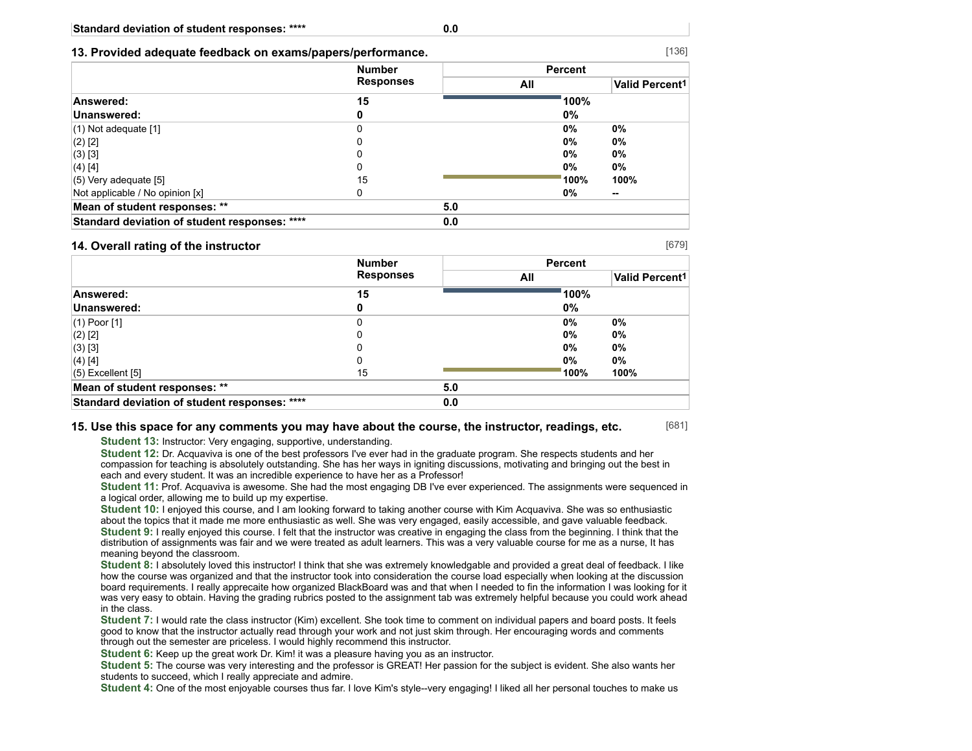#### **13. Provided adequate feedback on exams/papers/performance.**

|                                               | <b>Number</b>    |     | <b>Percent</b> |                            |
|-----------------------------------------------|------------------|-----|----------------|----------------------------|
|                                               | <b>Responses</b> | All |                | Valid Percent <sup>1</sup> |
| Answered:                                     | 15               |     | 100%           |                            |
| Unanswered:                                   | o                |     | 0%             |                            |
| $(1)$ Not adequate $[1]$                      | 0                |     | 0%             | 0%                         |
| $(2)$ [2]                                     | 0                |     | $0\%$          | 0%                         |
| $(3)$ [3]                                     |                  |     | $0\%$          | 0%                         |
| (4) [4]                                       |                  |     | 0%             | 0%                         |
| $(5)$ Very adequate $[5]$                     | 15               |     | 100%           | 100%                       |
| Not applicable / No opinion [x]               |                  |     | 0%             | --                         |
| Mean of student responses: **                 |                  | 5.0 |                |                            |
| Standard deviation of student responses: **** |                  | 0.0 |                |                            |

#### **14. Overall rating of the instructor**

[679]

[681]

|                                               | <b>Number</b>    |     | <b>Percent</b> |                       |  |
|-----------------------------------------------|------------------|-----|----------------|-----------------------|--|
|                                               | <b>Responses</b> |     | All            | <b>Valid Percent1</b> |  |
| Answered:                                     | 15               |     | 100%           |                       |  |
| Unanswered:                                   | 0                |     | 0%             |                       |  |
| $(1)$ Poor $[1]$                              | 0                |     | 0%             | $0\%$                 |  |
| $(2)$ [2]                                     | 0                |     | 0%             | $0\%$                 |  |
| (3) [3]                                       | C                |     | 0%             | $0\%$                 |  |
| (4) [4]                                       | 0                |     | 0%             | $0\%$                 |  |
| $(5)$ Excellent $[5]$                         | 15               |     | 100%           | 100%                  |  |
| Mean of student responses: **                 |                  | 5.0 |                |                       |  |
| Standard deviation of student responses: **** |                  | 0.0 |                |                       |  |

#### **15. Use this space for any comments you may have about the course, the instructor, readings, etc.**

**Student 13:** Instructor: Very engaging, supportive, understanding.

**Student 12:** Dr. Acquaviva is one of the best professors I've ever had in the graduate program. She respects students and her compassion for teaching is absolutely outstanding. She has her ways in igniting discussions, motivating and bringing out the best in each and every student. It was an incredible experience to have her as a Professor!

**Student 11:** Prof. Acquaviva is awesome. She had the most engaging DB I've ever experienced. The assignments were sequenced in a logical order, allowing me to build up my expertise.

**Student 10:** I enjoyed this course, and I am looking forward to taking another course with Kim Acquaviva. She was so enthusiastic about the topics that it made me more enthusiastic as well. She was very engaged, easily accessible, and gave valuable feedback. **Student 9:** I really enjoyed this course. I felt that the instructor was creative in engaging the class from the beginning. I think that the distribution of assignments was fair and we were treated as adult learners. This was a very valuable course for me as a nurse, It has meaning beyond the classroom.

**Student 8:** I absolutely loved this instructor! I think that she was extremely knowledgable and provided a great deal of feedback. I like how the course was organized and that the instructor took into consideration the course load especially when looking at the discussion board requirements. I really apprecaite how organized BlackBoard was and that when I needed to fin the information I was looking for it was very easy to obtain. Having the grading rubrics posted to the assignment tab was extremely helpful because you could work ahead in the class.

**Student 7:** I would rate the class instructor (Kim) excellent. She took time to comment on individual papers and board posts. It feels good to know that the instructor actually read through your work and not just skim through. Her encouraging words and comments through out the semester are priceless. I would highly recommend this instructor.

**Student 6:** Keep up the great work Dr. Kim! it was a pleasure having you as an instructor.

**Student 5:** The course was very interesting and the professor is GREAT! Her passion for the subject is evident. She also wants her students to succeed, which I really appreciate and admire.

**Student 4:** One of the most enjoyable courses thus far. I love Kim's style--very engaging! I liked all her personal touches to make us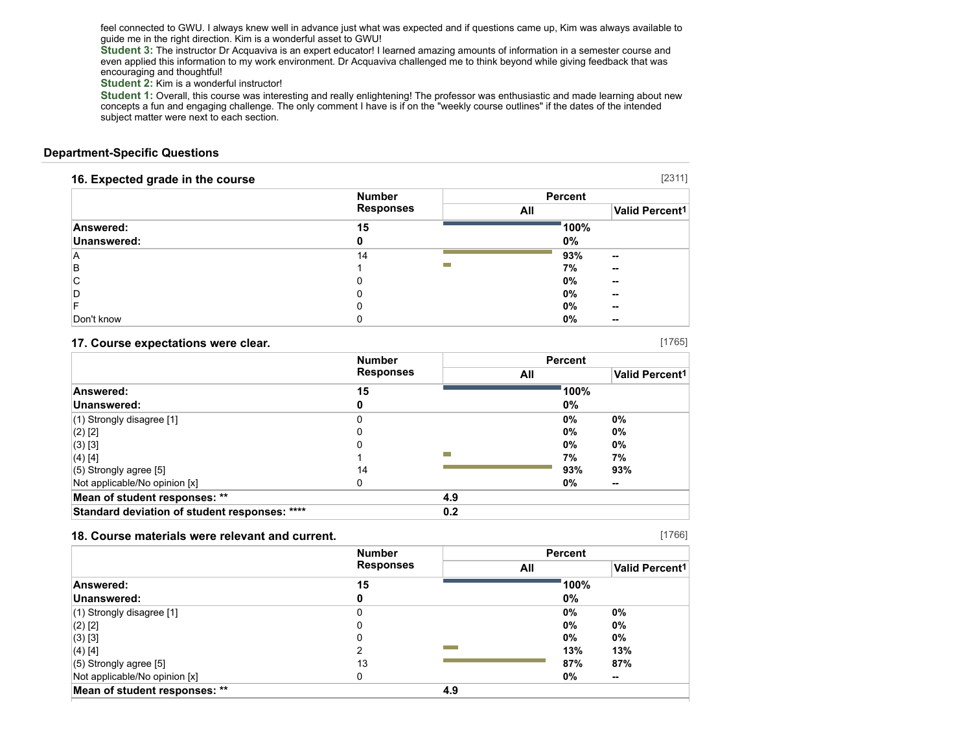feel connected to GWU. I always knew well in advance just what was expected and if questions came up, Kim was always available to guide me in the right direction. Kim is a wonderful asset to GWU!

**Student 3:** The instructor Dr Acquaviva is an expert educator! I learned amazing amounts of information in a semester course and even applied this information to my work environment. Dr Acquaviva challenged me to think beyond while giving feedback that was encouraging and thoughtful!

**Student 2:** Kim is a wonderful instructor!

**Student 1:** Overall, this course was interesting and really enlightening! The professor was enthusiastic and made learning about new concepts a fun and engaging challenge. The only comment I have is if on the "weekly course outlines" if the dates of the intended subject matter were next to each section.

#### **Department-Specific Questions**

| 16. Expected grade in the course |                  |         | [2311]                     |
|----------------------------------|------------------|---------|----------------------------|
|                                  | <b>Number</b>    | Percent |                            |
|                                  | <b>Responses</b> | All     | Valid Percent <sup>1</sup> |
| Answered:                        | 15               | 100%    |                            |
| Unanswered:                      |                  | $0\%$   |                            |
| ΙA                               | 14               | 93%     | --                         |
| B                                |                  | 7%      | --                         |
| C                                | 0                | 0%      | --                         |
| ID                               |                  | 0%      | --                         |
|                                  |                  | $0\%$   | --                         |
| Don't know                       |                  | 0%      | --                         |

#### **17. Course expectations were clear.**

|                                               | <b>Number</b> |     | <b>Percent</b> |        |
|-----------------------------------------------|---------------|-----|----------------|--------|
| <b>Responses</b>                              | All           |     | Valid Percent1 |        |
| Answered:                                     | 15            |     | 100%           |        |
| Unanswered:                                   | 0             |     | 0%             |        |
| $(1)$ Strongly disagree [1]                   | 0             |     | 0%             | 0%     |
| $(2)$ [2]                                     | 0             |     | 0%             | 0%     |
| $(3)$ [3]                                     | 0             |     | 0%             | $0\%$  |
| $(4)$ [4]                                     |               |     | 7%             | 7%     |
| $(5)$ Strongly agree [5]                      | 14            |     | 93%            | 93%    |
| Not applicable/No opinion [x]                 | 0             |     | 0%             | $\sim$ |
| Mean of student responses: **                 |               | 4.9 |                |        |
| Standard deviation of student responses: **** |               | 0.2 |                |        |

#### **18. Course materials were relevant and current.**

|                               | <b>Number</b>    |     | <b>Percent</b> |                       |  |
|-------------------------------|------------------|-----|----------------|-----------------------|--|
|                               | <b>Responses</b> |     | All            | <b>Valid Percent1</b> |  |
| Answered:                     | 15               |     | 100%           |                       |  |
| Unanswered:                   | 0                |     | 0%             |                       |  |
| $(1)$ Strongly disagree [1]   | 0                |     | 0%             | 0%                    |  |
| $(2)$ [2]                     | 0                |     | 0%             | 0%                    |  |
| (3) [3]                       | 0                |     | 0%             | 0%                    |  |
| $(4)$ [4]                     | າ                |     | 13%            | 13%                   |  |
| $(5)$ Strongly agree [5]      | 13               |     | 87%            | 87%                   |  |
| Not applicable/No opinion [x] | 0                |     | 0%             | $\sim$                |  |
| Mean of student responses: ** |                  | 4.9 |                |                       |  |

[1766]

[1765]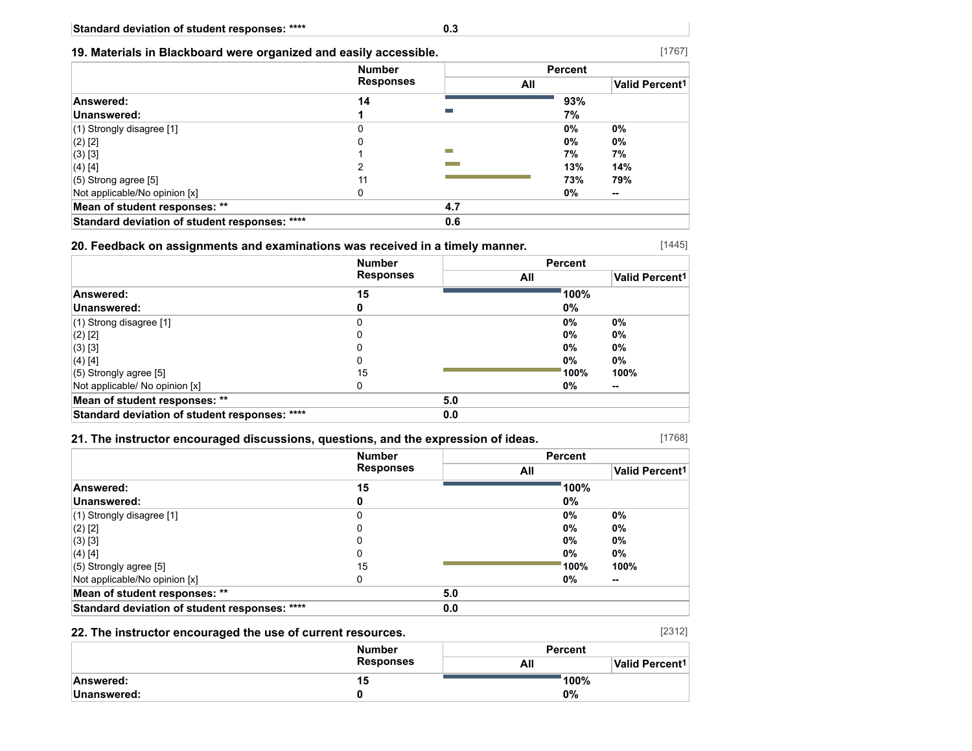## **19. Materials in Blackboard were organized and easily accessible.**

|                                               | <b>Number</b><br><b>Responses</b> |     | <b>Percent</b> |                       |
|-----------------------------------------------|-----------------------------------|-----|----------------|-----------------------|
|                                               |                                   |     | All            | <b>Valid Percent1</b> |
| Answered:                                     | 14                                |     | 93%            |                       |
| Unanswered:                                   |                                   |     | 7%             |                       |
| $(1)$ Strongly disagree [1]                   |                                   |     | 0%             | 0%                    |
| $(2)$ [2]                                     |                                   |     | 0%             | 0%                    |
| $(3)$ [3]                                     |                                   |     | 7%             | 7%                    |
| (4) [4]                                       |                                   |     | 13%            | 14%                   |
| $(5)$ Strong agree [5]                        | 11                                |     | 73%            | 79%                   |
| Not applicable/No opinion [x]                 |                                   |     | 0%             | --                    |
| Mean of student responses: **                 |                                   | 4.7 |                |                       |
| Standard deviation of student responses: **** |                                   | 0.6 |                |                       |

### **20. Feedback on assignments and examinations was received in a timely manner.**

|                                               | <b>Number</b>    |     | <b>Percent</b> |                            |  |
|-----------------------------------------------|------------------|-----|----------------|----------------------------|--|
|                                               | <b>Responses</b> |     | All            | Valid Percent <sup>1</sup> |  |
| Answered:                                     | 15               |     | 100%           |                            |  |
| Unanswered:                                   | 0                |     | 0%             |                            |  |
| $(1)$ Strong disagree [1]                     | 0                |     | 0%             | 0%                         |  |
| $(2)$ [2]                                     | 0                |     | 0%             | 0%                         |  |
| $(3)$ [3]                                     | 0                |     | 0%             | 0%                         |  |
| $(4)$ [4]                                     | 0                |     | 0%             | 0%                         |  |
| $(5)$ Strongly agree [5]                      | 15               |     | 100%           | 100%                       |  |
| Not applicable/ No opinion [x]                | 0                |     | 0%             | $\sim$                     |  |
| Mean of student responses: **                 |                  | 5.0 |                |                            |  |
| Standard deviation of student responses: **** |                  | 0.0 |                |                            |  |

### **21. The instructor encouraged discussions, questions, and the expression of ideas.**

|                                               | <b>Number</b>    |     | <b>Percent</b> |                       |
|-----------------------------------------------|------------------|-----|----------------|-----------------------|
|                                               | <b>Responses</b> |     | All            | <b>Valid Percent1</b> |
| Answered:                                     | 15               |     | 100%           |                       |
| Unanswered:                                   |                  |     | 0%             |                       |
| $(1)$ Strongly disagree [1]                   | C                |     | $0\%$          | 0%                    |
| $(2)$ [2]                                     |                  |     | $0\%$          | 0%                    |
| $(3)$ [3]                                     |                  |     | $0\%$          | 0%                    |
| $(4)$ [4]                                     |                  |     | $0\%$          | 0%                    |
| $(5)$ Strongly agree [5]                      | 15               |     | 100%           | 100%                  |
| Not applicable/No opinion [x]                 | <sup>0</sup>     |     | $0\%$          | --                    |
| Mean of student responses: **                 |                  | 5.0 |                |                       |
| Standard deviation of student responses: **** |                  | 0.0 |                |                       |

### **22. The instructor encouraged the use of current resources.**

|              | <b>Number</b>    | <b>Percent</b> |                            |  |
|--------------|------------------|----------------|----------------------------|--|
|              | <b>Responses</b> | All            | Valid Percent <sup>1</sup> |  |
| Answered:    | 15.              | ່ 100%         |                            |  |
| ∣Unanswered: |                  | 0%             |                            |  |

[1767]

[1445]

[1768]

[2312]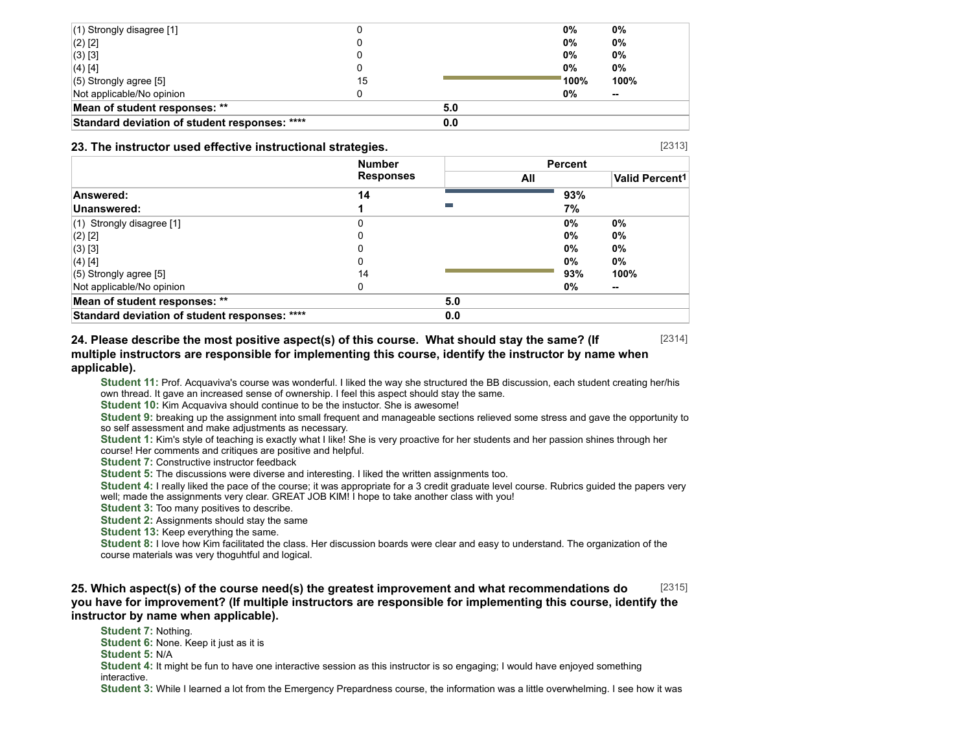| $(1)$ Strongly disagree [1]                   |    |     | 0%                   | 0%     |
|-----------------------------------------------|----|-----|----------------------|--------|
| $(2)$ [2]                                     |    |     | 0%                   | 0%     |
| $(3)$ [3]                                     |    |     | 0%                   | 0%     |
| $(4)$ [4]                                     |    |     | 0%                   | 0%     |
| $(5)$ Strongly agree [5]                      | 15 |     | $^{\backprime}$ 100% | 100%   |
| Not applicable/No opinion                     |    |     | 0%                   | $\sim$ |
| Mean of student responses: **                 |    | 5.0 |                      |        |
| Standard deviation of student responses: **** |    | 0.0 |                      |        |

#### **23. The instructor used effective instructional strategies.**

**Number Responses Percent All Valid Percent1 Answered: 14 93% Unanswered: 1 7%** (1) Strongly disagree [1] 0 **0% 0%** (2) [2] 0 **0% 0%** (3) [3] 0 **0% 0%** (4) [4] 0 **0% 0%** (5) Strongly agree [5] 14 **93% 100%** Not applicable/No opinion 0 **0% -- Mean of student responses: \*\* 5.0 Standard deviation of student responses: \*\*\*\* 0.0**

[2314] **24. Please describe the most positive aspect(s) of this course. What should stay the same? (If multiple instructors are responsible for implementing this course, identify the instructor by name when applicable).**

**Student 11:** Prof. Acquaviva's course was wonderful. I liked the way she structured the BB discussion, each student creating her/his own thread. It gave an increased sense of ownership. I feel this aspect should stay the same.

**Student 10:** Kim Acquaviva should continue to be the instuctor. She is awesome!

**Student 9:** breaking up the assignment into small frequent and manageable sections relieved some stress and gave the opportunity to so self assessment and make adjustments as necessary.

**Student 1:** Kim's style of teaching is exactly what I like! She is very proactive for her students and her passion shines through her course! Her comments and critiques are positive and helpful.

**Student 7: Constructive instructor feedback** 

**Student 5:** The discussions were diverse and interesting. I liked the written assignments too.

**Student 4:** I really liked the pace of the course; it was appropriate for a 3 credit graduate level course. Rubrics guided the papers very well; made the assignments very clear. GREAT JOB KIM! I hope to take another class with you!

**Student 3:** Too many positives to describe.

**Student 2:** Assignments should stay the same

**Student 13:** Keep everything the same.

**Student 8:** I love how Kim facilitated the class. Her discussion boards were clear and easy to understand. The organization of the course materials was very thoguhtful and logical.

#### [2315] **25. Which aspect(s) of the course need(s) the greatest improvement and what recommendations do you have for improvement? (If multiple instructors are responsible for implementing this course, identify the instructor by name when applicable).**

**Student 7:** Nothing. **Student 6: None. Keep it just as it is Student 5:** N/A **Student 4:** It might be fun to have one interactive session as this instructor is so engaging; I would have enjoyed something interactive. **Student 3:** While I learned a lot from the Emergency Prepardness course, the information was a little overwhelming. I see how it was

[2313]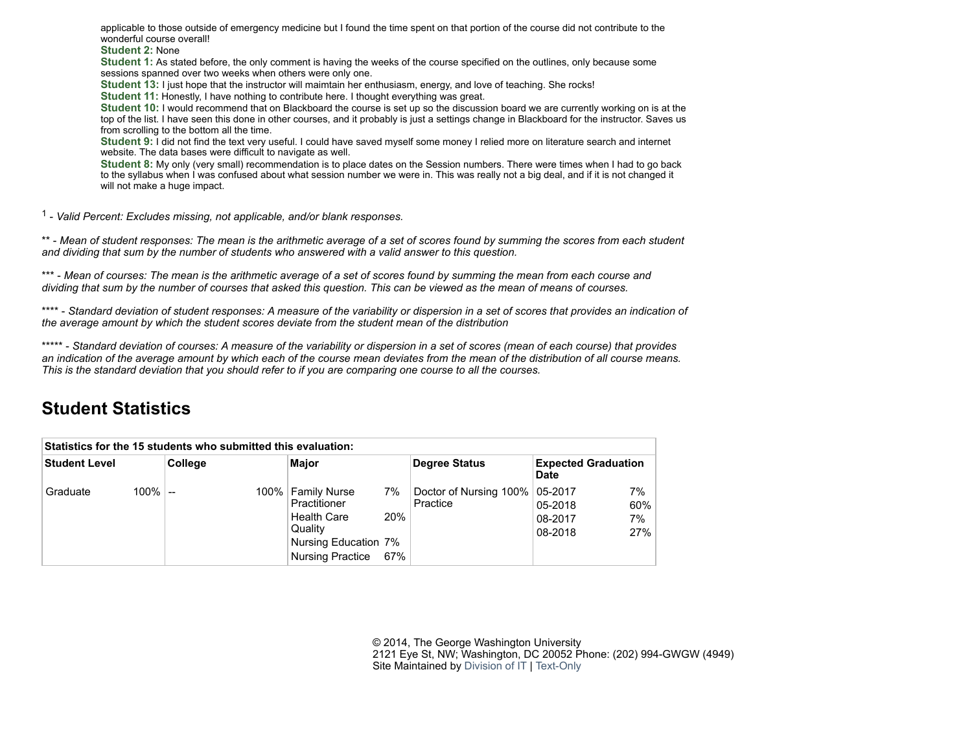applicable to those outside of emergency medicine but I found the time spent on that portion of the course did not contribute to the wonderful course overall!

**Student 2:** None

**Student 1:** As stated before, the only comment is having the weeks of the course specified on the outlines, only because some sessions spanned over two weeks when others were only one.

**Student 13:** I just hope that the instructor will maimtain her enthusiasm, energy, and love of teaching. She rocks!

**Student 11:** Honestly, I have nothing to contribute here. I thought everything was great.

**Student 10:** I would recommend that on Blackboard the course is set up so the discussion board we are currently working on is at the top of the list. I have seen this done in other courses, and it probably is just a settings change in Blackboard for the instructor. Saves us from scrolling to the bottom all the time.

**Student 9:** I did not find the text very useful. I could have saved myself some money I relied more on literature search and internet website. The data bases were difficult to navigate as well.

**Student 8:** My only (very small) recommendation is to place dates on the Session numbers. There were times when I had to go back to the syllabus when I was confused about what session number we were in. This was really not a big deal, and if it is not changed it will not make a huge impact.

1 - *Valid Percent: Excludes missing, not applicable, and/or blank responses.*

\*\* - *Mean of student responses: The mean is the arithmetic average of a set of scores found by summing the scores from each student and dividing that sum by the number of students who answered with a valid answer to this question.*

\*\*\* - *Mean of courses: The mean is the arithmetic average of a set of scores found by summing the mean from each course and dividing that sum by the number of courses that asked this question. This can be viewed as the mean of means of courses.*

\*\*\*\* - *Standard deviation of student responses: A measure of the variability or dispersion in a set of scores that provides an indication of the average amount by which the student scores deviate from the student mean of the distribution*

\*\*\*\*\* - *Standard deviation of courses: A measure of the variability or dispersion in a set of scores (mean of each course) that provides an indication of the average amount by which each of the course mean deviates from the mean of the distribution of all course means. This is the standard deviation that you should refer to if you are comparing one course to all the courses.*

# **Student Statistics**

| Statistics for the 15 students who submitted this evaluation: |            |         |         |                                                                                                                         |                  |                                    |                                              |                        |
|---------------------------------------------------------------|------------|---------|---------|-------------------------------------------------------------------------------------------------------------------------|------------------|------------------------------------|----------------------------------------------|------------------------|
| Student Level                                                 |            | College |         | Major                                                                                                                   |                  | Degree Status                      | <b>Expected Graduation</b><br>Date           |                        |
| Graduate                                                      | $100\%$ -- |         | $100\%$ | <b>Family Nurse</b><br>Practitioner<br><b>Health Care</b><br>Quality<br>Nursing Education 7%<br><b>Nursing Practice</b> | 7%<br>20%<br>67% | Doctor of Nursing 100%<br>Practice | $05 - 2017$<br>05-2018<br>08-2017<br>08-2018 | 7%<br>60%<br>7%<br>27% |

© 2014, The George Washington University 2121 Eye St, NW; Washington, DC 20052 Phone: (202) 994-GWGW (4949) Site Maintained by [Division of IT](http://it.gwu.edu/) | [Text-Only](http://transcoder.usablenet.com/tt/referrer)